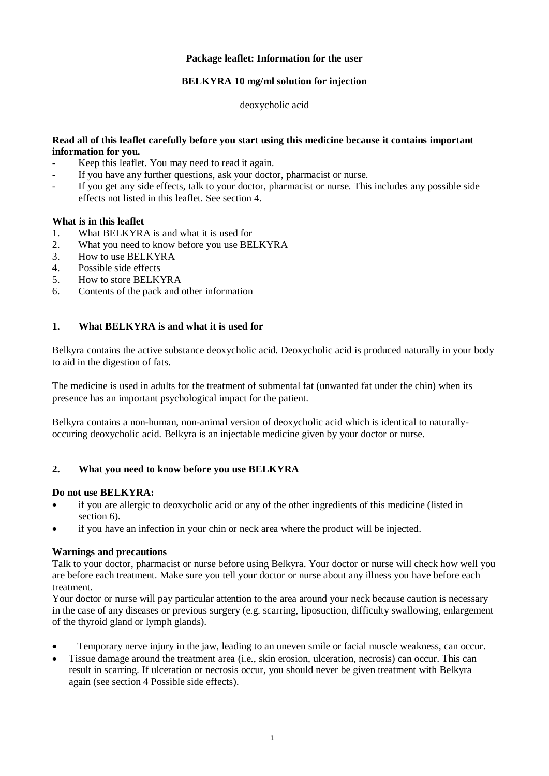## **Package leaflet: Information for the user**

## **BELKYRA 10 mg/ml solution for injection**

deoxycholic acid

## **Read all of this leaflet carefully before you start using this medicine because it contains important information for you.**

- Keep this leaflet. You may need to read it again.
- If you have any further questions, ask your doctor, pharmacist or nurse.
- If you get any side effects, talk to your doctor, pharmacist or nurse. This includes any possible side effects not listed in this leaflet. See section 4.

### **What is in this leaflet**

- 1. What BELKYRA is and what it is used for
- 2. What you need to know before you use BELKYRA
- 3. How to use BELKYRA
- 4. Possible side effects
- 5. How to store BELKYRA
- 6. Contents of the pack and other information

## **1. What BELKYRA is and what it is used for**

Belkyra contains the active substance deoxycholic acid. Deoxycholic acid is produced naturally in your body to aid in the digestion of fats.

The medicine is used in adults for the treatment of submental fat (unwanted fat under the chin) when its presence has an important psychological impact for the patient.

Belkyra contains a non-human, non-animal version of deoxycholic acid which is identical to naturallyoccuring deoxycholic acid. Belkyra is an injectable medicine given by your doctor or nurse.

## **2. What you need to know before you use BELKYRA**

### **Do not use BELKYRA:**

- if you are allergic to deoxycholic acid or any of the other ingredients of this medicine (listed in section 6).
- if you have an infection in your chin or neck area where the product will be injected.

### **Warnings and precautions**

Talk to your doctor, pharmacist or nurse before using Belkyra. Your doctor or nurse will check how well you are before each treatment. Make sure you tell your doctor or nurse about any illness you have before each treatment.

Your doctor or nurse will pay particular attention to the area around your neck because caution is necessary in the case of any diseases or previous surgery (e.g. scarring, liposuction, difficulty swallowing, enlargement of the thyroid gland or lymph glands).

- Temporary nerve injury in the jaw, leading to an uneven smile or facial muscle weakness, can occur.
- Tissue damage around the treatment area (i.e., skin erosion, ulceration, necrosis) can occur. This can result in scarring. If ulceration or necrosis occur, you should never be given treatment with Belkyra again (see section 4 Possible side effects).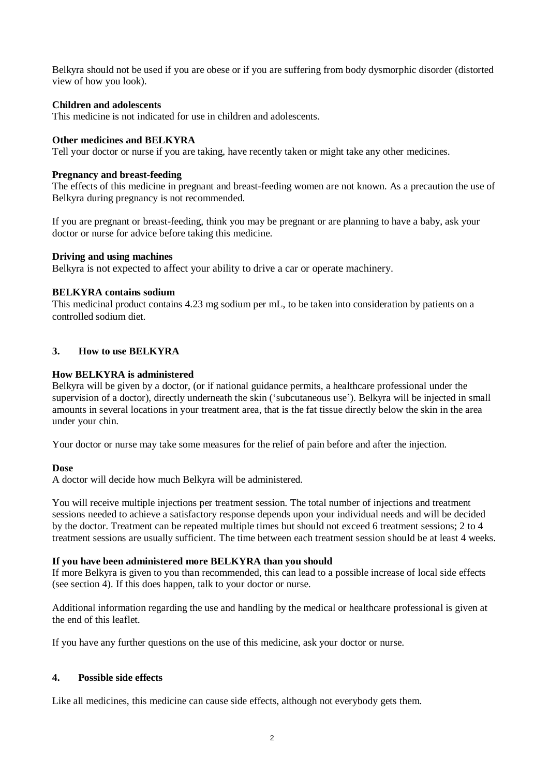Belkyra should not be used if you are obese or if you are suffering from body dysmorphic disorder (distorted view of how you look).

## **Children and adolescents**

This medicine is not indicated for use in children and adolescents.

## **Other medicines and BELKYRA**

Tell your doctor or nurse if you are taking, have recently taken or might take any other medicines.

## **Pregnancy and breast-feeding**

The effects of this medicine in pregnant and breast-feeding women are not known. As a precaution the use of Belkyra during pregnancy is not recommended.

If you are pregnant or breast-feeding, think you may be pregnant or are planning to have a baby, ask your doctor or nurse for advice before taking this medicine.

### **Driving and using machines**

Belkyra is not expected to affect your ability to drive a car or operate machinery.

## **BELKYRA contains sodium**

This medicinal product contains 4.23 mg sodium per mL, to be taken into consideration by patients on a controlled sodium diet.

# **3. How to use BELKYRA**

## **How BELKYRA is administered**

Belkyra will be given by a doctor, (or if national guidance permits, a healthcare professional under the supervision of a doctor), directly underneath the skin ('subcutaneous use'). Belkyra will be injected in small amounts in several locations in your treatment area, that is the fat tissue directly below the skin in the area under your chin.

Your doctor or nurse may take some measures for the relief of pain before and after the injection.

### **Dose**

A doctor will decide how much Belkyra will be administered.

You will receive multiple injections per treatment session. The total number of injections and treatment sessions needed to achieve a satisfactory response depends upon your individual needs and will be decided by the doctor. Treatment can be repeated multiple times but should not exceed 6 treatment sessions; 2 to 4 treatment sessions are usually sufficient. The time between each treatment session should be at least 4 weeks.

### **If you have been administered more BELKYRA than you should**

If more Belkyra is given to you than recommended, this can lead to a possible increase of local side effects (see section 4). If this does happen, talk to your doctor or nurse.

Additional information regarding the use and handling by the medical or healthcare professional is given at the end of this leaflet.

If you have any further questions on the use of this medicine, ask your doctor or nurse.

# **4. Possible side effects**

Like all medicines, this medicine can cause side effects, although not everybody gets them.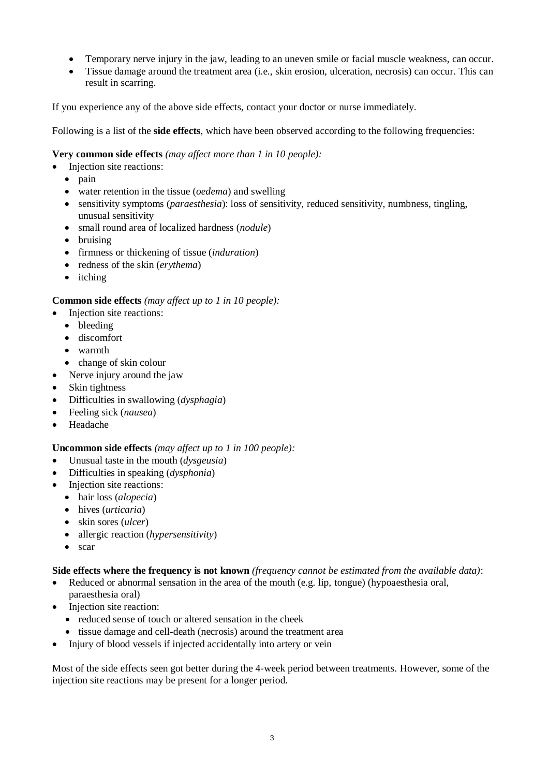- Temporary nerve injury in the jaw, leading to an uneven smile or facial muscle weakness, can occur.
- Tissue damage around the treatment area (i.e., skin erosion, ulceration, necrosis) can occur. This can result in scarring.

If you experience any of the above side effects, contact your doctor or nurse immediately.

Following is a list of the **side effects**, which have been observed according to the following frequencies:

# **Very common side effects** *(may affect more than 1 in 10 people):*

- Injection site reactions:
	- $\bullet$  pain
	- water retention in the tissue (*oedema*) and swelling
	- sensitivity symptoms (*paraesthesia*): loss of sensitivity, reduced sensitivity, numbness, tingling, unusual sensitivity
	- small round area of localized hardness (*nodule*)
	- bruising
	- firmness or thickening of tissue (*induration*)
	- redness of the skin (*erythema*)
	- itching

# **Common side effects** *(may affect up to 1 in 10 people):*

- Injection site reactions:
	- bleeding
	- discomfort
	- warmth
	- change of skin colour
- Nerve injury around the jaw
- Skin tightness
- Difficulties in swallowing (*dysphagia*)
- Feeling sick (*nausea*)
- Headache

# **Uncommon side effects** *(may affect up to 1 in 100 people):*

- Unusual taste in the mouth (*dysgeusia*)
- Difficulties in speaking (*dysphonia*)
- Injection site reactions:
	- hair loss (*alopecia*)
	- hives (*urticaria*)
	- skin sores (*ulcer*)
	- allergic reaction (*hypersensitivity*)
	- scar

# **Side effects where the frequency is not known** *(frequency cannot be estimated from the available data)*:

- Reduced or abnormal sensation in the area of the mouth (e.g. lip, tongue) (hypoaesthesia oral, paraesthesia oral)
- Injection site reaction:
	- reduced sense of touch or altered sensation in the cheek
	- tissue damage and cell-death (necrosis) around the treatment area
- Injury of blood vessels if injected accidentally into artery or vein

Most of the side effects seen got better during the 4-week period between treatments. However, some of the injection site reactions may be present for a longer period.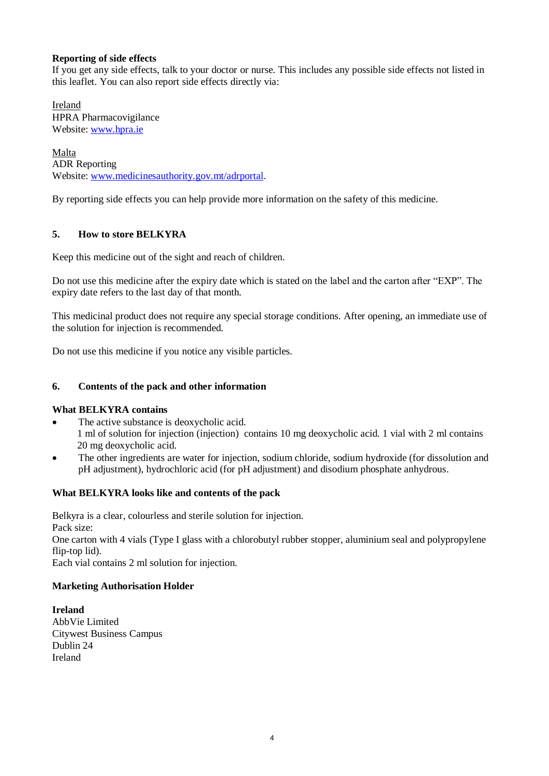## **Reporting of side effects**

If you get any side effects, talk to your doctor or nurse. This includes any possible side effects not listed in this leaflet. You can also report side effects directly via:

Ireland HPRA Pharmacovigilance Website: [www.hpra.ie](http://www.hpra.ie/)

Malta ADR Reporting Website: [www.medicinesauthority.gov.mt/adrportal.](http://www.medicinesauthority.gov.mt/adrportal)

By reporting side effects you can help provide more information on the safety of this medicine.

## **5. How to store BELKYRA**

Keep this medicine out of the sight and reach of children.

Do not use this medicine after the expiry date which is stated on the label and the carton after "EXP". The expiry date refers to the last day of that month.

This medicinal product does not require any special storage conditions. After opening, an immediate use of the solution for injection is recommended.

Do not use this medicine if you notice any visible particles.

## **6. Contents of the pack and other information**

### **What BELKYRA contains**

- The active substance is deoxycholic acid. 1 ml of solution for injection (injection) contains 10 mg deoxycholic acid. 1 vial with 2 ml contains 20 mg deoxycholic acid.
- The other ingredients are water for injection, sodium chloride, sodium hydroxide (for dissolution and pH adjustment), hydrochloric acid (for pH adjustment) and disodium phosphate anhydrous.

# **What BELKYRA looks like and contents of the pack**

Belkyra is a clear, colourless and sterile solution for injection. Pack size: One carton with 4 vials (Type I glass with a chlorobutyl rubber stopper, aluminium seal and polypropylene flip-top lid). Each vial contains 2 ml solution for injection.

### **Marketing Authorisation Holder**

**Ireland** AbbVie Limited Citywest Business Campus Dublin 24 Ireland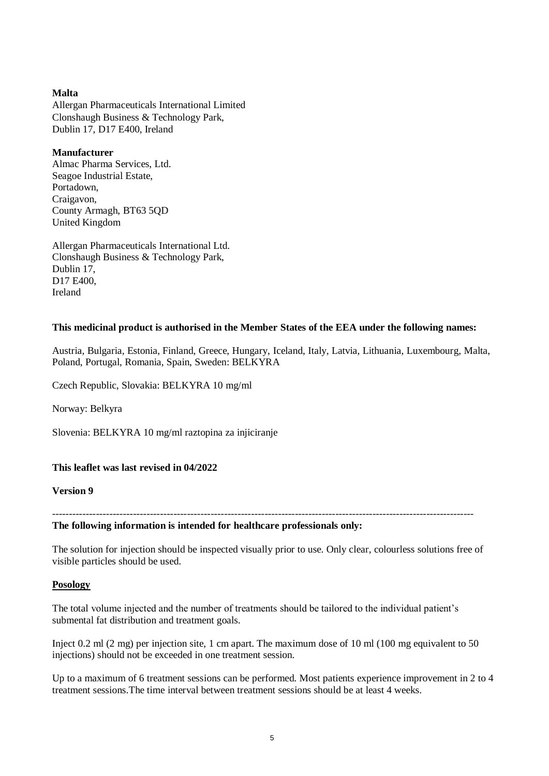### **Malta**

Allergan Pharmaceuticals International Limited Clonshaugh Business & Technology Park, Dublin 17, D17 E400, Ireland

## **Manufacturer**

Almac Pharma Services, Ltd. Seagoe Industrial Estate, Portadown, Craigavon, County Armagh, BT63 5QD United Kingdom

Allergan Pharmaceuticals International Ltd. Clonshaugh Business & Technology Park, Dublin 17, D17 E400, Ireland

## **This medicinal product is authorised in the Member States of the EEA under the following names:**

Austria, Bulgaria, Estonia, Finland, Greece, Hungary, Iceland, Italy, Latvia, Lithuania, Luxembourg, Malta, Poland, Portugal, Romania, Spain, Sweden: BELKYRA

Czech Republic, Slovakia: BELKYRA 10 mg/ml

Norway: Belkyra

Slovenia: BELKYRA 10 mg/ml raztopina za injiciranje

# **This leaflet was last revised in 04/2022**

**Version 9**

-----------------------------------------------------------------------------------------------------------------------------

**The following information is intended for healthcare professionals only:**

The solution for injection should be inspected visually prior to use. Only clear, colourless solutions free of visible particles should be used.

### **Posology**

The total volume injected and the number of treatments should be tailored to the individual patient's submental fat distribution and treatment goals.

Inject 0.2 ml (2 mg) per injection site, 1 cm apart. The maximum dose of 10 ml (100 mg equivalent to 50 injections) should not be exceeded in one treatment session.

Up to a maximum of 6 treatment sessions can be performed. Most patients experience improvement in 2 to 4 treatment sessions.The time interval between treatment sessions should be at least 4 weeks.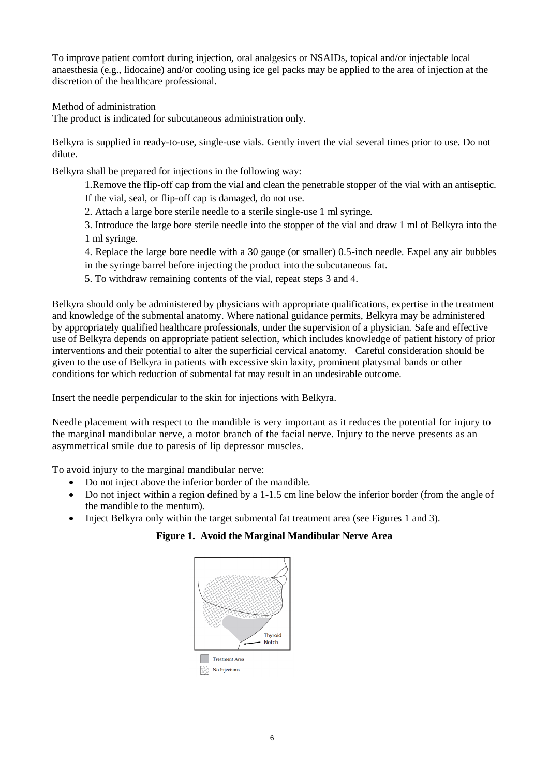To improve patient comfort during injection, oral analgesics or NSAIDs, topical and/or injectable local anaesthesia (e.g., lidocaine) and/or cooling using ice gel packs may be applied to the area of injection at the discretion of the healthcare professional.

## Method of administration

The product is indicated for subcutaneous administration only.

Belkyra is supplied in ready-to-use, single-use vials. Gently invert the vial several times prior to use. Do not dilute.

Belkyra shall be prepared for injections in the following way:

1.Remove the flip-off cap from the vial and clean the penetrable stopper of the vial with an antiseptic. If the vial, seal, or flip-off cap is damaged, do not use.

2. Attach a large bore sterile needle to a sterile single-use 1 ml syringe.

3. Introduce the large bore sterile needle into the stopper of the vial and draw 1 ml of Belkyra into the 1 ml syringe.

4. Replace the large bore needle with a 30 gauge (or smaller) 0.5-inch needle. Expel any air bubbles in the syringe barrel before injecting the product into the subcutaneous fat.

5. To withdraw remaining contents of the vial, repeat steps 3 and 4.

Belkyra should only be administered by physicians with appropriate qualifications, expertise in the treatment and knowledge of the submental anatomy. Where national guidance permits, Belkyra may be administered by appropriately qualified healthcare professionals, under the supervision of a physician. Safe and effective use of Belkyra depends on appropriate patient selection, which includes knowledge of patient history of prior interventions and their potential to alter the superficial cervical anatomy. Careful consideration should be given to the use of Belkyra in patients with excessive skin laxity, prominent platysmal bands or other conditions for which reduction of submental fat may result in an undesirable outcome.

Insert the needle perpendicular to the skin for injections with Belkyra.

Needle placement with respect to the mandible is very important as it reduces the potential for injury to the marginal mandibular nerve, a motor branch of the facial nerve. Injury to the nerve presents as an asymmetrical smile due to paresis of lip depressor muscles.

To avoid injury to the marginal mandibular nerve:

- Do not inject above the inferior border of the mandible.
- Do not inject within a region defined by a 1-1.5 cm line below the inferior border (from the angle of the mandible to the mentum).
- Inject Belkyra only within the target submental fat treatment area (see Figures 1 and 3).

### **Figure 1. Avoid the Marginal Mandibular Nerve Area**